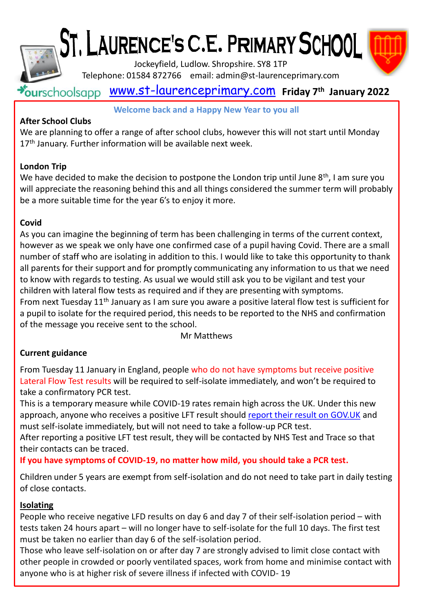



Jockeyfield, Ludlow. Shropshire. SY8 1TP

Telephone: 01584 872766 email: admin@st-laurenceprimary.com

# [www.st-laurenceprimary.com](http://www.st-laurenceprimary.com/) **Friday 7 th January 2022**

#### **Welcome back and a Happy New Year to you all**

### **After School Clubs**

We are planning to offer a range of after school clubs, however this will not start until Monday 17<sup>th</sup> January. Further information will be available next week.

### **London Trip**

We have decided to make the decision to postpone the London trip until June  $8<sup>th</sup>$ , I am sure you will appreciate the reasoning behind this and all things considered the summer term will probably be a more suitable time for the year 6's to enjoy it more.

### **Covid**

As you can imagine the beginning of term has been challenging in terms of the current context, however as we speak we only have one confirmed case of a pupil having Covid. There are a small number of staff who are isolating in addition to this. I would like to take this opportunity to thank all parents for their support and for promptly communicating any information to us that we need to know with regards to testing. As usual we would still ask you to be vigilant and test your children with lateral flow tests as required and if they are presenting with symptoms. From next Tuesday  $11<sup>th</sup>$  January as I am sure you aware a positive lateral flow test is sufficient for a pupil to isolate for the required period, this needs to be reported to the NHS and confirmation of the message you receive sent to the school.

Mr Matthews

## **Current guidance**

From Tuesday 11 January in England, people who do not have symptoms but receive positive Lateral Flow Test results will be required to self-isolate immediately, and won't be required to take a confirmatory PCR test.

This is a temporary measure while COVID-19 rates remain high across the UK. Under this new approach, anyone who receives a positive LFT result should [report their result on GOV.UK](http://mail2.taw.org.uk:32224/?dmVyPTEuMDAxJiZmZjljZmQxYjE1NDI1ZWE2Nz02MUQ4M0QyNF82NjYxN18xMjY1NF8xJiYyMGM5MDMwNzYxYjA4Y2U9MTIzMiYmdXJsPWh0dHBzJTNBJTJGJTJGbG5rcyUyRWdkJTJGbCUyRmV5SmhiR2NpT2lKSVV6STFOaUo5JTJFZXlKaWRXeHNaWFJwYmw5c2FXNXJYMmxrSWpveE1EUXNJblZ5YVNJNkltSndNanBqYkdsamF5SXNJbUoxYkd4bGRHbHVYMmxrSWpvaU1qQXlNakF4TURjdU5URTBNRFl5TXpFaUxDSjFjbXdpT2lKb2RIUndjem92TDNkM2R5NW5iM1l1ZFdzdmNtVndiM0owTFdOdmRtbGtNVGt0Y21WemRXeDBJbjAlMkV6aGVxSFJUMVItb2xodXZRRVd1WGk3NDBRTm5FZ05GYXFKaVdESFAyQ013JTJGcyUyRjU0NjY4NjU4MCUyRmJyJTJGMTI0MzE5MTI1NTQ5LWw=) and must self-isolate immediately, but will not need to take a follow-up PCR test.

After reporting a positive LFT test result, they will be contacted by NHS Test and Trace so that their contacts can be traced.

**If you have symptoms of COVID-19, no matter how mild, you should take a PCR test.**

Children under 5 years are exempt from self-isolation and do not need to take part in daily testing of close contacts.

### **Isolating**

People who receive negative LFD results on day 6 and day 7 of their self-isolation period – with tests taken 24 hours apart – will no longer have to self-isolate for the full 10 days. The first test must be taken no earlier than day 6 of the self-isolation period.

Those who leave self-isolation on or after day 7 are strongly advised to limit close contact with other people in crowded or poorly ventilated spaces, work from home and minimise contact with anyone who is at higher risk of severe illness if infected with COVID- 19